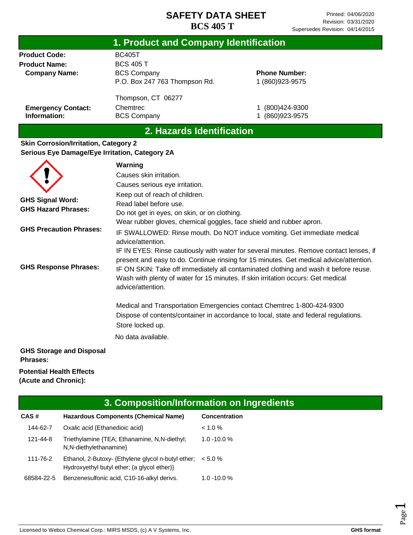|                                                | 1. Product and Company Identification |                      |  |
|------------------------------------------------|---------------------------------------|----------------------|--|
| <b>Product Code:</b>                           | <b>BC405T</b>                         |                      |  |
| <b>Product Name:</b>                           | <b>BCS 405 T</b>                      |                      |  |
| <b>Company Name:</b>                           | <b>BCS Company</b>                    | <b>Phone Number:</b> |  |
|                                                | P.O. Box 247 763 Thompson Rd.         | 1 (860) 923-9575     |  |
|                                                | Thompson, CT 06277                    |                      |  |
| <b>Emergency Contact:</b>                      | Chemtrec                              | $(800)424 - 9300$    |  |
| Information:                                   | <b>BCS Company</b>                    | (860)923-9575        |  |
|                                                | 2. Hazards Identification             |                      |  |
| <b>Skin Corrosion/Irritation, Category 2</b>   |                                       |                      |  |
| Serious Eye Damage/Eye Irritation, Category 2A |                                       |                      |  |
|                                                | Warning                               |                      |  |
|                                                | Causes skin irritation.               |                      |  |
|                                                | Causes serious eye irritation.        |                      |  |
|                                                | Keep out of reach of children.        |                      |  |
| <b>GHS Signal Word:</b>                        | Read label before use.                |                      |  |

**GHS Precaution Phrases: GHS Response Phrases:** Wear rubber gloves, chemical goggles, face shield and rubber apron. IF SWALLOWED: Rinse mouth. Do NOT induce vomiting. Get immediate medical advice/attention. IF IN EYES: Rinse cautiously with water for several minutes. Remove contact lenses, if present and easy to do. Continue rinsing for 15 minutes. Get medical advice/attention. IF ON SKIN: Take off immediately all contaminated clothing and wash it before reuse. Wash with plenty of water for 15 minutes. If skin irritation occurs: Get medical advice/attention.

Do not get in eyes, on skin, or on clothing.

Medical and Transportation Emergencies contact Chemtrec 1-800-424-9300 Dispose of contents/container in accordance to local, state and federal regulations. Store locked up.

No data available.

### **GHS Storage and Disposal Phrases:**

#### **Potential Health Effects (Acute and Chronic):**

**GHS Hazard Phrases:**

| 3. Composition/Information on Ingredients |                                                                                                 |                      |  |
|-------------------------------------------|-------------------------------------------------------------------------------------------------|----------------------|--|
| CAS#                                      | Hazardous Components (Chemical Name)                                                            | <b>Concentration</b> |  |
| 144-62-7                                  | Oxalic acid {Ethanedioic acid}                                                                  | $< 1.0 \%$           |  |
| 121-44-8                                  | Triethylamine {TEA; Ethanamine, N,N-diethyl;<br>N, N-diethylethanamine                          | $1.0 - 10.0 %$       |  |
| 111-76-2                                  | Ethanol, 2-Butoxy-{Ethylene glycol n-butyl ether;<br>Hydroxyethyl butyl ether; (a glycol ether) | $< 5.0 \%$           |  |
| 68584-22-5                                | Benzenesulfonic acid, C10-16-alkyl derivs.                                                      | $1.0 - 10.0 %$       |  |

Page  $\overline{\phantom{0}}$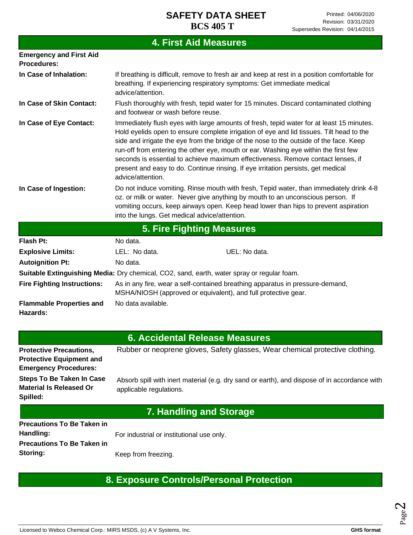# **4. First Aid Measures**

| <b>Emergency and First Aid</b><br><b>Procedures:</b> |                                                                                                                                                                                                                                                                                                                                                                                                                                                                                                                                                                     |  |  |
|------------------------------------------------------|---------------------------------------------------------------------------------------------------------------------------------------------------------------------------------------------------------------------------------------------------------------------------------------------------------------------------------------------------------------------------------------------------------------------------------------------------------------------------------------------------------------------------------------------------------------------|--|--|
| In Case of Inhalation:                               | If breathing is difficult, remove to fresh air and keep at rest in a position comfortable for<br>breathing. If experiencing respiratory symptoms: Get immediate medical<br>advice/attention.                                                                                                                                                                                                                                                                                                                                                                        |  |  |
| In Case of Skin Contact:                             | Flush thoroughly with fresh, tepid water for 15 minutes. Discard contaminated clothing<br>and footwear or wash before reuse.                                                                                                                                                                                                                                                                                                                                                                                                                                        |  |  |
| In Case of Eye Contact:                              | Immediately flush eyes with large amounts of fresh, tepid water for at least 15 minutes.<br>Hold eyelids open to ensure complete irrigation of eye and lid tissues. Tilt head to the<br>side and irrigate the eye from the bridge of the nose to the outside of the face. Keep<br>run-off from entering the other eye, mouth or ear. Washing eye within the first few<br>seconds is essential to achieve maximum effectiveness. Remove contact lenses, if<br>present and easy to do. Continue rinsing. If eye irritation persists, get medical<br>advice/attention. |  |  |
| In Case of Ingestion:                                | Do not induce vomiting. Rinse mouth with fresh, Tepid water, than immediately drink 4-8<br>oz. or milk or water. Never give anything by mouth to an unconscious person. If<br>vomiting occurs, keep airways open. Keep head lower than hips to prevent aspiration<br>into the lungs. Get medical advice/attention.                                                                                                                                                                                                                                                  |  |  |
|                                                      | <b>5. Fire Fighting Measures</b>                                                                                                                                                                                                                                                                                                                                                                                                                                                                                                                                    |  |  |
| <b>Flash Pt:</b>                                     | No data.                                                                                                                                                                                                                                                                                                                                                                                                                                                                                                                                                            |  |  |
| <b>Explosive Limits:</b>                             | UEL: No data.<br>LEL: No data.                                                                                                                                                                                                                                                                                                                                                                                                                                                                                                                                      |  |  |
| <b>Autoignition Pt:</b>                              | No data.                                                                                                                                                                                                                                                                                                                                                                                                                                                                                                                                                            |  |  |
|                                                      | Suitable Extinguishing Media: Dry chemical, CO2, sand, earth, water spray or regular foam.                                                                                                                                                                                                                                                                                                                                                                                                                                                                          |  |  |
| <b>Fire Fighting Instructions:</b>                   | As in any fire, wear a self-contained breathing apparatus in pressure-demand,<br>MSHA/NIOSH (approved or equivalent), and full protective gear.                                                                                                                                                                                                                                                                                                                                                                                                                     |  |  |
| <b>Flammable Properties and</b><br>Hazards:          | No data available.                                                                                                                                                                                                                                                                                                                                                                                                                                                                                                                                                  |  |  |

## **6. Accidental Release Measures**

| <b>Protective Precautions,</b><br><b>Protective Equipment and</b><br><b>Emergency Procedures:</b> | Rubber or neoprene gloves, Safety glasses, Wear chemical protective clothing.                                           |
|---------------------------------------------------------------------------------------------------|-------------------------------------------------------------------------------------------------------------------------|
| <b>Steps To Be Taken In Case</b><br><b>Material Is Released Or</b><br>Spilled:                    | Absorb spill with inert material (e.g. dry sand or earth), and dispose of in accordance with<br>applicable regulations. |
|                                                                                                   | 7. Handling and Storage                                                                                                 |
| <b>Precautions To Be Taken in</b><br>Handling:                                                    | For industrial or institutional use only.                                                                               |

# **8. Exposure Controls/Personal Protection**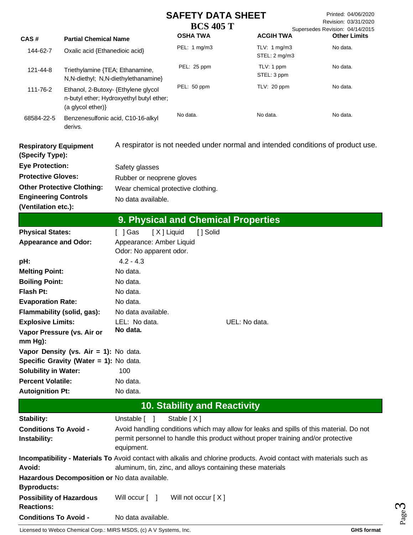|                                                      |                                               |                                                                                                                       | <b>SAFETY DATA SHEET</b>            |                           |                                         | Printed: 04/06/2020                                     |
|------------------------------------------------------|-----------------------------------------------|-----------------------------------------------------------------------------------------------------------------------|-------------------------------------|---------------------------|-----------------------------------------|---------------------------------------------------------|
|                                                      |                                               |                                                                                                                       | <b>BCS 405 T</b>                    |                           |                                         | Revision: 03/31/2020<br>Supersedes Revision: 04/14/2015 |
| CAS#                                                 | <b>Partial Chemical Name</b>                  |                                                                                                                       | <b>OSHA TWA</b>                     |                           | <b>ACGIH TWA</b>                        | <b>Other Limits</b>                                     |
| 144-62-7                                             | Oxalic acid {Ethanedioic acid}                |                                                                                                                       | PEL: 1 mg/m3                        |                           | TLV: $1 \text{ mg/m}3$<br>STEL: 2 mg/m3 | No data.                                                |
| 121-44-8                                             | Triethylamine {TEA; Ethanamine,               | N, N-diethyl; N, N-diethylethanamine}                                                                                 | PEL: 25 ppm                         | TLV: 1 ppm<br>STEL: 3 ppm |                                         | No data.                                                |
| 111-76-2                                             | (a glycol ether)}                             | Ethanol, 2-Butoxy- {Ethylene glycol<br>n-butyl ether; Hydroxyethyl butyl ether;                                       | PEL: 50 ppm                         |                           | TLV: 20 ppm                             | No data.                                                |
| 68584-22-5                                           | Benzenesulfonic acid, C10-16-alkyl<br>derivs. |                                                                                                                       | No data.                            | No data.                  |                                         | No data.                                                |
| <b>Respiratory Equipment</b><br>(Specify Type):      |                                               | A respirator is not needed under normal and intended conditions of product use.                                       |                                     |                           |                                         |                                                         |
| <b>Eye Protection:</b>                               |                                               | Safety glasses                                                                                                        |                                     |                           |                                         |                                                         |
| <b>Protective Gloves:</b>                            |                                               | Rubber or neoprene gloves                                                                                             |                                     |                           |                                         |                                                         |
|                                                      | <b>Other Protective Clothing:</b>             | Wear chemical protective clothing.                                                                                    |                                     |                           |                                         |                                                         |
| <b>Engineering Controls</b>                          |                                               | No data available.                                                                                                    |                                     |                           |                                         |                                                         |
| (Ventilation etc.):                                  |                                               |                                                                                                                       |                                     |                           |                                         |                                                         |
|                                                      |                                               | 9. Physical and Chemical Properties                                                                                   |                                     |                           |                                         |                                                         |
| <b>Physical States:</b>                              |                                               | [X] Liquid<br>[ ] Gas                                                                                                 | [] Solid                            |                           |                                         |                                                         |
| <b>Appearance and Odor:</b>                          |                                               | Appearance: Amber Liquid<br>Odor: No apparent odor.                                                                   |                                     |                           |                                         |                                                         |
| pH:                                                  |                                               | $4.2 - 4.3$                                                                                                           |                                     |                           |                                         |                                                         |
| <b>Melting Point:</b>                                |                                               | No data.                                                                                                              |                                     |                           |                                         |                                                         |
| <b>Boiling Point:</b>                                |                                               | No data.                                                                                                              |                                     |                           |                                         |                                                         |
| <b>Flash Pt:</b>                                     |                                               | No data.                                                                                                              |                                     |                           |                                         |                                                         |
| <b>Evaporation Rate:</b>                             |                                               | No data.                                                                                                              |                                     |                           |                                         |                                                         |
| Flammability (solid, gas):                           |                                               | No data available.                                                                                                    |                                     |                           |                                         |                                                         |
| <b>Explosive Limits:</b>                             |                                               | LEL: No data.                                                                                                         |                                     | UEL: No data.             |                                         |                                                         |
| Vapor Pressure (vs. Air or                           |                                               | No data.                                                                                                              |                                     |                           |                                         |                                                         |
| $mm Hg$ ):                                           |                                               |                                                                                                                       |                                     |                           |                                         |                                                         |
|                                                      | Vapor Density (vs. Air = 1): No data.         |                                                                                                                       |                                     |                           |                                         |                                                         |
|                                                      | Specific Gravity (Water = 1): No data.        |                                                                                                                       |                                     |                           |                                         |                                                         |
| <b>Solubility in Water:</b>                          |                                               | 100                                                                                                                   |                                     |                           |                                         |                                                         |
| <b>Percent Volatile:</b>                             |                                               | No data.                                                                                                              |                                     |                           |                                         |                                                         |
| <b>Autoignition Pt:</b>                              |                                               | No data.                                                                                                              |                                     |                           |                                         |                                                         |
|                                                      |                                               |                                                                                                                       | <b>10. Stability and Reactivity</b> |                           |                                         |                                                         |
| Stability:                                           |                                               | Unstable [ ]                                                                                                          | Stable [X]                          |                           |                                         |                                                         |
| <b>Conditions To Avoid -</b>                         |                                               | Avoid handling conditions which may allow for leaks and spills of this material. Do not                               |                                     |                           |                                         |                                                         |
| Instability:                                         |                                               | permit personnel to handle this product without proper training and/or protective<br>equipment.                       |                                     |                           |                                         |                                                         |
|                                                      |                                               | Incompatibility - Materials To Avoid contact with alkalis and chlorine products. Avoid contact with materials such as |                                     |                           |                                         |                                                         |
| Avoid:                                               |                                               | aluminum, tin, zinc, and alloys containing these materials                                                            |                                     |                           |                                         |                                                         |
|                                                      |                                               | Hazardous Decomposition or No data available.                                                                         |                                     |                           |                                         |                                                         |
| <b>Byproducts:</b>                                   |                                               |                                                                                                                       |                                     |                           |                                         |                                                         |
| <b>Possibility of Hazardous</b><br><b>Reactions:</b> |                                               | Will occur [ ]                                                                                                        | Will not occur [X]                  |                           |                                         |                                                         |
| <b>Conditions To Avoid -</b>                         |                                               | No data available.                                                                                                    |                                     |                           |                                         |                                                         |

Licensed to Webco Chemical Corp.: MIRS MSDS, (c) A V Systems, Inc. **GHS** format **GHS** format

Page ო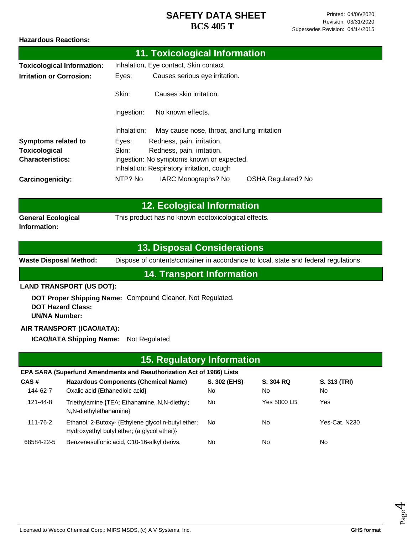#### **Hazardous Reactions:**

|                                   |             | 11. Toxicological Information               |                           |
|-----------------------------------|-------------|---------------------------------------------|---------------------------|
| <b>Toxicological Information:</b> |             | Inhalation, Eye contact, Skin contact       |                           |
| <b>Irritation or Corrosion:</b>   | Eyes:       | Causes serious eye irritation.              |                           |
|                                   | Skin:       | Causes skin irritation.                     |                           |
|                                   | Ingestion:  | No known effects.                           |                           |
|                                   | Inhalation: | May cause nose, throat, and lung irritation |                           |
| <b>Symptoms related to</b>        | Eyes:       | Redness, pain, irritation.                  |                           |
| <b>Toxicological</b>              | Skin:       | Redness, pain, irritation.                  |                           |
| <b>Characteristics:</b>           |             | Ingestion: No symptoms known or expected.   |                           |
|                                   |             | Inhalation: Respiratory irritation, cough   |                           |
| <b>Carcinogenicity:</b>           | NTP? No     | IARC Monographs? No                         | <b>OSHA Regulated? No</b> |

|                                           | <b>12. Ecological Information</b>                   |
|-------------------------------------------|-----------------------------------------------------|
| <b>General Ecological</b><br>Information: | This product has no known ecotoxicological effects. |

### **13. Disposal Considerations**

**Waste Disposal Method:** Dispose of contents/container in accordance to local, state and federal regulations.

**14. Transport Information**

#### **LAND TRANSPORT (US DOT):**

**DOT Proper Shipping Name:**  Compound Cleaner, Not Regulated. **DOT Hazard Class: UN/NA Number:**

#### **AIR TRANSPORT (ICAO/IATA):**

**ICAO/IATA Shipping Name:** Not Regulated

### **EPA SARA (Superfund Amendments and Reauthorization Act of 1986) Lists 15. Regulatory Information**

| CAS#       | <b>Hazardous Components (Chemical Name)</b>                                                      | S. 302 (EHS) | S. 304 RQ   | S. 313 (TRI)  |
|------------|--------------------------------------------------------------------------------------------------|--------------|-------------|---------------|
| 144-62-7   | Oxalic acid {Ethanedioic acid}                                                                   | No.          | No          | No.           |
| 121-44-8   | Triethylamine {TEA; Ethanamine, N,N-diethyl;<br>N, N-diethylethanamine                           | No           | Yes 5000 LB | Yes           |
| 111-76-2   | Ethanol, 2-Butoxy- {Ethylene glycol n-butyl ether;<br>Hydroxyethyl butyl ether; (a glycol ether) | No.          | No          | Yes-Cat. N230 |
| 68584-22-5 | Benzenesulfonic acid, C10-16-alkyl derivs.                                                       | No           | No          | No.           |

Page 4